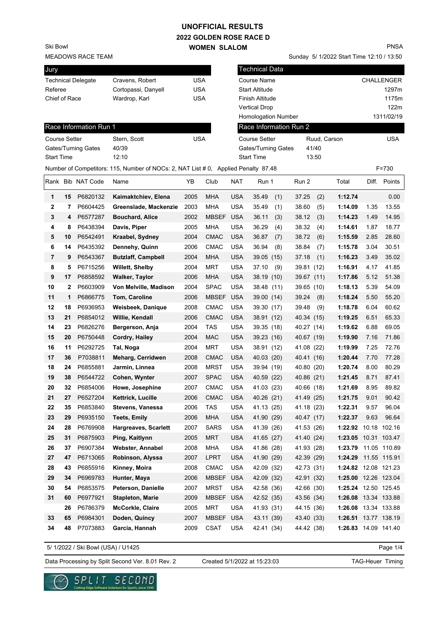## **UNOFFICIAL RESULTS**

**2022 GOLDEN ROSE RACE D WOMEN SLALOM** 

MEADOWS RACE TEAM Ski Bowl

| Cravens, Robert     | USA |
|---------------------|-----|
| Cortopassi, Danyell | USA |
| Wardrop, Karl       | USA |
|                     |     |

Sunday 5/ 1/2022 Start Time 12:10 / 13:50 PNSA

| Jury                 |    |                        |                                                                                    |            |              |            | <b>Technical Data</b> |     |                        |       |                      |       |                   |
|----------------------|----|------------------------|------------------------------------------------------------------------------------|------------|--------------|------------|-----------------------|-----|------------------------|-------|----------------------|-------|-------------------|
|                      |    | Technical Delegate     | Cravens, Robert                                                                    | <b>USA</b> |              |            | Course Name           |     |                        |       |                      |       | <b>CHALLENGER</b> |
| Referee              |    |                        | Cortopassi, Danyell                                                                | <b>USA</b> |              |            | <b>Start Altitude</b> |     |                        |       |                      |       | 1297m             |
| Chief of Race        |    |                        | Wardrop, Karl                                                                      | <b>USA</b> |              |            | Finish Altitude       |     |                        |       |                      |       | 1175m             |
|                      |    |                        |                                                                                    |            |              |            | <b>Vertical Drop</b>  |     |                        |       |                      |       | 122m              |
|                      |    |                        |                                                                                    |            |              |            | Homologation Number   |     |                        |       |                      |       | 1311/02/19        |
|                      |    | Race Information Run 1 |                                                                                    |            |              |            |                       |     | Race Information Run 2 |       |                      |       |                   |
| <b>Course Setter</b> |    |                        | Stern, Scott                                                                       | <b>USA</b> |              |            | <b>Course Setter</b>  |     |                        |       | Ruud, Carson         |       | <b>USA</b>        |
|                      |    | Gates/Turning Gates    | 40/39                                                                              |            |              |            | Gates/Turning Gates   |     |                        | 41/40 |                      |       |                   |
| <b>Start Time</b>    |    |                        | 12:10                                                                              |            |              |            | <b>Start Time</b>     |     |                        | 13:50 |                      |       |                   |
|                      |    |                        | Number of Competitors: 115, Number of NOCs: 2, NAT List # 0, Applied Penalty 87.48 |            |              |            |                       |     |                        |       |                      |       | $F = 730$         |
| Rank                 |    | <b>Bib NAT Code</b>    | Name                                                                               | YB         | Club         | <b>NAT</b> | Run 1                 |     | Run 2                  |       | Total                | Diff. | Points            |
| 1                    | 15 | P6820132               | Kaimaktchiev, Elena                                                                | 2005       | <b>MHA</b>   | <b>USA</b> | 35.49                 | (1) | 37.25                  | (2)   | 1:12.74              |       | 0.00              |
| 2                    | 7  | P6604425               | Greenslade, Mackenzie                                                              | 2003       | <b>MHA</b>   | <b>USA</b> | 35.49                 | (1) | 38.60                  | (5)   | 1:14.09              | 1.35  | 13.55             |
| 3                    | 4  | P6577287               | <b>Bouchard, Alice</b>                                                             | 2002       | <b>MBSEF</b> | <b>USA</b> | 36.11                 | (3) | 38.12                  | (3)   | 1:14.23              | 1.49  | 14.95             |
| 4                    | 8  | P6438394               | Davis, Piper                                                                       | 2005       | <b>MHA</b>   | <b>USA</b> | 36.29                 | (4) | 38.32                  | (4)   | 1:14.61              | 1.87  | 18.77             |
| 5                    | 10 | P6542491               | Kraabel, Sydney                                                                    | 2004       | <b>CMAC</b>  | <b>USA</b> | 36.87                 | (7) | 38.72                  | (6)   | 1:15.59              | 2.85  | 28.60             |
| 6                    | 14 | P6435392               | Dennehy, Quinn                                                                     | 2006       | <b>CMAC</b>  | <b>USA</b> | 36.94                 | (8) | 38.84                  | (7)   | 1:15.78              | 3.04  | 30.51             |
| 7                    | 9  | P6543367               | <b>Butzlaff, Campbell</b>                                                          | 2004       | <b>MHA</b>   | <b>USA</b> | 39.05 (15)            |     | 37.18                  | (1)   | 1:16.23              | 3.49  | 35.02             |
| 8                    | 5  | P6715256               | <b>Willett, Shelby</b>                                                             | 2004       | MRT          | <b>USA</b> | 37.10                 | (9) | 39.81                  | (12)  | 1:16.91              | 4.17  | 41.85             |
| 9                    | 17 | P6858592               | <b>Walker, Taylor</b>                                                              | 2006       | MHA          | <b>USA</b> | 38.19 (10)            |     | 39.67 (11)             |       | 1:17.86              | 5.12  | 51.38             |
| 10                   | 2  | P6603909               | Von Melville, Madison                                                              | 2004       | <b>SPAC</b>  | <b>USA</b> | 38.48 (11)            |     | 39.65 (10)             |       | 1:18.13              | 5.39  | 54.09             |
| 11                   | 1  | P6866775               | Tom, Caroline                                                                      | 2006       | <b>MBSEF</b> | <b>USA</b> | 39.00 (14)            |     | 39.24                  | (8)   | 1:18.24              | 5.50  | 55.20             |
| 12                   | 18 | P6936953               | Weisbeek, Danique                                                                  | 2008       | <b>CMAC</b>  | <b>USA</b> | 39.30 (17)            |     | 39.48                  | (9)   | 1:18.78              | 6.04  | 60.62             |
| 13                   | 21 | P6854012               | Willie, Kendall                                                                    | 2006       | <b>CMAC</b>  | <b>USA</b> | 38.91 (12)            |     | 40.34 (15)             |       | 1:19.25              | 6.51  | 65.33             |
| 14                   | 23 | P6826276               | Bergerson, Anja                                                                    | 2004       | <b>TAS</b>   | <b>USA</b> | 39.35 (18)            |     | 40.27 (14)             |       | 1:19.62              | 6.88  | 69.05             |
| 15                   | 20 | P6750448               | Cordry, Hailey                                                                     | 2004       | <b>MAC</b>   | <b>USA</b> | 39.23 (16)            |     | 40.67 (19)             |       | 1:19.90              | 7.16  | 71.86             |
| 16                   | 11 | P6292725               | Tal, Noga                                                                          | 2004       | MRT          | <b>USA</b> | 38.91 (12)            |     | 41.08 (22)             |       | 1:19.99              | 7.25  | 72.76             |
| 17                   | 36 | P7038811               | Meharg, Cerridwen                                                                  | 2008       | <b>CMAC</b>  | <b>USA</b> | 40.03 (20)            |     | 40.41 (16)             |       | 1:20.44              | 7.70  | 77.28             |
| 18                   | 24 | P6855881               | Jarmin, Linnea                                                                     | 2008       | <b>MRST</b>  | <b>USA</b> | 39.94 (19)            |     | 40.80 (20)             |       | 1:20.74              | 8.00  | 80.29             |
| 19                   | 38 | P6544722               | Cohen, Wynter                                                                      | 2007       | <b>SPAC</b>  | <b>USA</b> | 40.59 (22)            |     | 40.86 (21)             |       | 1:21.45              | 8.71  | 87.41             |
| 20                   | 32 | P6854006               | Howe, Josephine                                                                    | 2007       | <b>CMAC</b>  | <b>USA</b> | 41.03 (23)            |     | 40.66 (18)             |       | 1:21.69              | 8.95  | 89.82             |
| 21                   | 27 | P6527204               | Kettrick, Lucille                                                                  | 2006       | <b>CMAC</b>  | <b>USA</b> | 40.26 (21)            |     | 41.49 (25)             |       | 1:21.75              | 9.01  | 90.42             |
| 22                   | 35 | P6853840               | Stevens, Vanessa                                                                   | 2006       | TAS          | <b>USA</b> | 41.13 (25)            |     | 41.18 (23)             |       | 1:22.31              | 9.57  | 96.04             |
| 23                   | 29 | P6935150               | <b>Teets, Emily</b>                                                                | 2006       | <b>MHA</b>   | <b>USA</b> | 41.90 (29)            |     | 40.47 (17)             |       | 1:22.37              | 9.63  | 96.64             |
| 24                   | 28 | P6769908               | Hargreaves, Scarlett                                                               | 2007       | <b>SARS</b>  | <b>USA</b> | 41.39 (26)            |     | 41.53 (26)             |       | 1:22.92 10.18 102.16 |       |                   |
| 25                   | 31 | P6875903               | Ping, Kaitlynn                                                                     | 2005       | <b>MRT</b>   | <b>USA</b> | 41.65 (27)            |     | 41.40 (24)             |       | 1:23.05 10.31 103.47 |       |                   |
| 26                   | 37 | P6907384               | Webster, Annabel                                                                   | 2008       | MHA          | <b>USA</b> | 41.86 (28)            |     | 41.93 (28)             |       | 1:23.79              |       | 11.05 110.89      |
| 27                   | 47 | P6713065               | Robinson, Alyssa                                                                   | 2007       | <b>LPRT</b>  | <b>USA</b> | 41.90 (29)            |     | 42.39 (29)             |       | 1:24.29              |       | 11.55 115.91      |
| 28                   | 43 | P6855916               | Kinney, Moira                                                                      | 2008       | <b>CMAC</b>  | <b>USA</b> | 42.09 (32)            |     | 42.73 (31)             |       | 1:24.82 12.08 121.23 |       |                   |
| 29                   | 34 | P6969783               | Hunter, Maya                                                                       | 2006       | MBSEF        | <b>USA</b> | 42.09 (32)            |     | 42.91 (32)             |       | 1:25.00 12.26 123.04 |       |                   |
| 30                   | 54 | P6853575               | Peterson, Danielle                                                                 | 2007       | <b>MRST</b>  | <b>USA</b> | 42.58 (36)            |     | 42.66 (30)             |       | 1:25.24 12.50 125.45 |       |                   |
| 31                   | 60 | P6977921               | <b>Stapleton, Marie</b>                                                            | 2009       | <b>MBSEF</b> | <b>USA</b> | 42.52 (35)            |     | 43.56 (34)             |       | 1:26.08 13.34 133.88 |       |                   |
|                      | 26 | P6786379               | <b>McCorkle, Claire</b>                                                            | 2005       | MRT          | <b>USA</b> | 41.93 (31)            |     | 44.15 (36)             |       | 1:26.08 13.34 133.88 |       |                   |
| 33                   | 65 | P6984301               | Doden, Quincy                                                                      | 2007       | MBSEF        | <b>USA</b> | 43.11 (39)            |     | 43.40 (33)             |       | 1:26.51 13.77 138.19 |       |                   |
| 34                   | 48 | P7073883               | Garcia, Hannah                                                                     | 2009       | <b>CSAT</b>  | USA        | 42.41 (34)            |     | 44.42 (38)             |       | 1:26.83 14.09 141.40 |       |                   |

5/ 1/2022 / Ski Bowl (USA) / U1425

Page 1/4

Data Processing by Split Second Ver. 8.01 Rev. 2 Created 5/1/2022 at 15:23:03 TAG-Heuer Timing

Created 5/1/2022 at 15:23:03

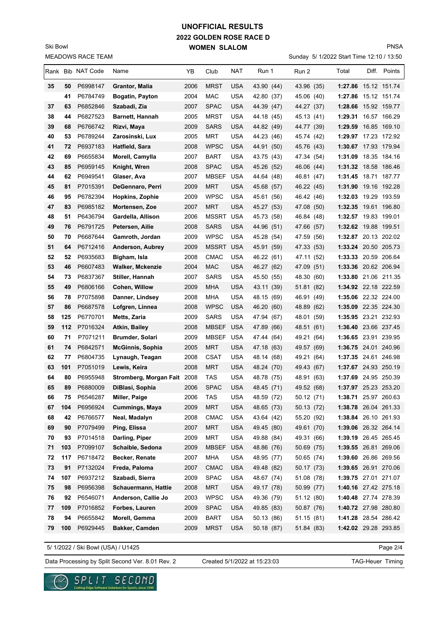## **2022 GOLDEN ROSE RACE D WOMEN SLALOM UNOFFICIAL RESULTS**

MEADOWS RACE TEAM Ski Bowl

Sunday 5/ 1/2022 Start Time 12:10 / 13:50

PNSA

|    |     | Rank Bib NAT Code | Name                        | YB   | Club             | NAT        | Run 1      | Run 2      | Total                | Diff. | Points       |
|----|-----|-------------------|-----------------------------|------|------------------|------------|------------|------------|----------------------|-------|--------------|
| 35 | 50  | P6998147          | Grantor, Malia              | 2006 | <b>MRST</b>      | <b>USA</b> | 43.90 (44) | 43.96 (35) | 1:27.86 15.12 151.74 |       |              |
|    | 41  | P6784749          | Bogatin, Payton             | 2004 | MAC              | <b>USA</b> | 42.80 (37) | 45.06 (40) | 1:27.86 15.12 151.74 |       |              |
| 37 | 63  | P6852846          | Szabadi, Zia                | 2007 | <b>SPAC</b>      | USA        | 44.39 (47) | 44.27 (37) | 1:28.66 15.92 159.77 |       |              |
| 38 | 44  | P6827523          | <b>Barnett, Hannah</b>      | 2005 | <b>MRST</b>      | USA        | 44.18 (45) | 45.13 (41) | 1:29.31              |       | 16.57 166.29 |
| 39 | 68  | P6766742          | Rizvi, Maya                 | 2009 | <b>SARS</b>      | <b>USA</b> | 44.82 (49) | 44.77 (39) | 1:29.59              |       | 16.85 169.10 |
| 40 | 53  | P6789244          | Zarosinski, Lux             | 2005 | MRT              | <b>USA</b> | 44.23 (46) | 45.74 (42) | 1:29.97 17.23 172.92 |       |              |
| 41 | 72  | P6937183          | Hatfield, Sara              | 2008 | <b>WPSC</b>      | USA        | 44.91 (50) | 45.76 (43) | 1:30.67 17.93 179.94 |       |              |
| 42 | 69  | P6655834          | Morell, Camylla             | 2007 | <b>BART</b>      | USA        | 43.75 (43) | 47.34 (54) | 1:31.09              |       | 18.35 184.16 |
| 43 | 85  | P6959145          | Knight, Wren                | 2008 | <b>SPAC</b>      | <b>USA</b> | 45.26 (52) | 46.06 (44) | 1:31.32 18.58 186.46 |       |              |
| 44 | 62  | P6949541          | Glaser, Ava                 | 2007 | <b>MBSEF</b>     | <b>USA</b> | 44.64 (48) | 46.81 (47) | 1:31.45 18.71 187.77 |       |              |
| 45 | 81  | P7015391          | DeGennaro, Perri            | 2009 | MRT              | <b>USA</b> | 45.68 (57) | 46.22 (45) | 1:31.90 19.16 192.28 |       |              |
| 46 | 95  | P6782394          | Hopkins, Zophie             | 2009 | <b>WPSC</b>      | <b>USA</b> | 45.61 (56) | 46.42 (46) | 1:32.03 19.29 193.59 |       |              |
| 47 | 83  | P6985182          | Mortensen, Zoe              | 2007 | <b>MRT</b>       | USA        | 45.27 (53) | 47.08 (50) | 1:32.35 19.61 196.80 |       |              |
| 48 | 51  | P6436794          | Gardella, Allison           | 2006 | <b>MSSRT USA</b> |            | 45.73 (58) | 46.84 (48) | 1:32.57 19.83 199.01 |       |              |
| 49 | 76  | P6791725          | Petersen, Ailie             | 2008 | <b>SARS</b>      | <b>USA</b> | 44.96 (51) | 47.66 (57) | 1:32.62 19.88 199.51 |       |              |
| 50 | 70  | P6687644          | Gamroth, Jordan             | 2009 | <b>WPSC</b>      | <b>USA</b> | 45.28 (54) | 47.59 (56) | 1:32.87 20.13 202.02 |       |              |
| 51 | 64  | P6712416          | Anderson, Aubrey            | 2009 | MSSRT            | <b>USA</b> | 45.91 (59) | 47.33 (53) | 1:33.24 20.50 205.73 |       |              |
| 52 | 52  | P6935683          | Bigham, Isla                | 2008 | <b>CMAC</b>      | <b>USA</b> | 46.22 (61) | 47.11 (52) | 1:33.33 20.59 206.64 |       |              |
| 53 | 46  | P6607483          | Walker, Mckenzie            | 2004 | <b>MAC</b>       | <b>USA</b> | 46.27 (62) | 47.09 (51) | 1:33.36 20.62 206.94 |       |              |
| 54 | 73  | P6837367          | Stiller, Hannah             | 2007 | <b>SARS</b>      | <b>USA</b> | 45.50 (55) | 48.30 (60) | 1:33.80 21.06 211.35 |       |              |
| 55 | 49  | P6806166          | Cohen, Willow               | 2009 | MHA              | <b>USA</b> | 43.11 (39) | 51.81 (82) | 1:34.92 22.18 222.59 |       |              |
| 56 | 78  | P7075898          | Danner, Lindsey             | 2008 | <b>MHA</b>       | <b>USA</b> | 48.15 (69) | 46.91 (49) | 1:35.06 22.32 224.00 |       |              |
| 57 | 86  | P6687578          | Lofgren, Linnea             | 2008 | <b>WPSC</b>      | <b>USA</b> | 46.20 (60) | 48.89 (62) | 1:35.09 22.35 224.30 |       |              |
| 58 | 125 | P6770701          | Metts, Zaria                | 2009 | <b>SARS</b>      | <b>USA</b> | 47.94 (67) | 48.01 (59) | 1:35.95 23.21 232.93 |       |              |
| 59 | 112 | P7016324          | Atkin, Bailey               | 2008 | <b>MBSEF</b>     | <b>USA</b> | 47.89 (66) | 48.51 (61) | 1:36.40 23.66 237.45 |       |              |
| 60 | 71  | P7071211          | <b>Brumder, Solari</b>      | 2009 | <b>MBSEF</b>     | USA        | 47.44 (64) | 49.21 (64) | 1:36.65 23.91 239.95 |       |              |
| 61 | 74  | P6842571          | <b>McGinnis, Sophia</b>     | 2005 | <b>MRT</b>       | <b>USA</b> | 47.18 (63) | 49.57 (69) | 1:36.75 24.01 240.96 |       |              |
| 62 | 77  | P6804735          | Lynaugh, Teagan             | 2008 | <b>CSAT</b>      | <b>USA</b> | 48.14 (68) | 49.21 (64) | 1:37.35 24.61 246.98 |       |              |
| 63 | 101 | P7051019          | Lewis, Keira                | 2008 | <b>MRT</b>       | <b>USA</b> | 48.24 (70) | 49.43 (67) | 1:37.67 24.93 250.19 |       |              |
| 64 | 80  | P6955948          | Stromberg, Morgan Fait 2008 |      | TAS              | <b>USA</b> | 48.78 (75) | 48.91 (63) | 1:37.69 24.95 250.39 |       |              |
| 65 | 89  | P6880009          | DiBlasi, Sophia             | 2006 | <b>SPAC</b>      | <b>USA</b> | 48.45 (71) | 49.52 (68) | 1:37.97 25.23 253.20 |       |              |
| 66 | 75  | P6546287          | Miller, Paige               | 2006 | <b>TAS</b>       | <b>USA</b> | 48.59 (72) | 50.12 (71) | 1:38.71 25.97 260.63 |       |              |
| 67 | 104 | P6956924          | Cummings, Maya              | 2009 | <b>MRT</b>       | <b>USA</b> | 48.65 (73) | 50.13 (72) | 1:38.78 26.04 261.33 |       |              |
| 68 | 42  | P6766577          | Neal, Madalyn               | 2008 | <b>CMAC</b>      | <b>USA</b> | 43.64 (42) | 55.20 (92) | 1:38.84 26.10 261.93 |       |              |
| 69 | 90  | P7079499          | Ping, Elissa                | 2007 | <b>MRT</b>       | <b>USA</b> | 49.45 (80) | 49.61 (70) | 1:39.06 26.32 264.14 |       |              |
| 70 | 93  | P7014518          | Darling, Piper              | 2009 | MRT              | <b>USA</b> | 49.88 (84) | 49.31 (66) | 1:39.19 26.45 265.45 |       |              |
| 71 | 103 | P7099107          | Schaible, Sedona            | 2009 | <b>MBSEF</b>     | <b>USA</b> | 48.86 (76) | 50.69 (75) | 1:39.55 26.81 269.06 |       |              |
| 72 | 117 | P6718472          | Becker, Renate              | 2007 | <b>MHA</b>       | USA        | 48.95 (77) | 50.65 (74) | 1:39.60 26.86 269.56 |       |              |
| 73 | 91  | P7132024          | Freda, Paloma               | 2007 | <b>CMAC</b>      | <b>USA</b> | 49.48 (82) | 50.17 (73) | 1:39.65 26.91 270.06 |       |              |
| 74 | 107 | P6937212          | Szabadi, Sierra             | 2009 | <b>SPAC</b>      | <b>USA</b> | 48.67 (74) | 51.08 (78) | 1:39.75 27.01 271.07 |       |              |
| 75 | 98  | P6956398          | Schauermann, Hattie         | 2008 | <b>MRT</b>       | <b>USA</b> | 49.17 (78) | 50.99 (77) | 1:40.16 27.42 275.18 |       |              |
| 76 | 92  | P6546071          | Anderson, Callie Jo         | 2003 | <b>WPSC</b>      | <b>USA</b> | 49.36 (79) | 51.12 (80) | 1:40.48 27.74 278.39 |       |              |
| 77 | 109 | P7016852          | Forbes, Lauren              | 2009 | <b>SPAC</b>      | <b>USA</b> | 49.85 (83) | 50.87 (76) | 1:40.72 27.98 280.80 |       |              |
| 78 | 94  | P6655842          | Morell, Gemma               | 2009 | <b>BART</b>      | <b>USA</b> | 50.13 (86) | 51.15 (81) | 1:41.28 28.54 286.42 |       |              |
| 79 | 100 | P6929445          | Bakker, Camden              | 2009 | <b>MRST</b>      | <b>USA</b> | 50.18 (87) | 51.84 (83) | 1:42.02 29.28 293.85 |       |              |

5/ 1/2022 / Ski Bowl (USA) / U1425

Page 2/4

Data Processing by Split Second Ver. 8.01 Rev. 2 Created 5/1/2022 at 15:23:03 TAG-Heuer Timing

SPLIT SECOND

re Solutions for Sports, since 1990

Created 5/1/2022 at 15:23:03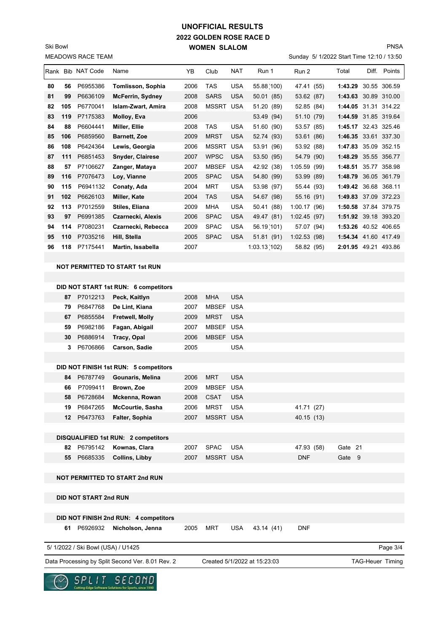### **2022 GOLDEN ROSE RACE D WOMEN SLALOM UNOFFICIAL RESULTS**

MEADOWS RACE TEAM Ski Bowl

#### PNSA

Sunday 5/ 1/2022 Start Time 12:10 / 13:50

| <b>USA</b><br>55.88(100)<br>P6955386<br>2006<br><b>TAS</b><br>1:43.29<br>30.55 306.59<br>80<br>56<br>Tomlisson, Sophia<br>47.41 (55)<br>P6636109<br><b>SARS</b><br><b>USA</b><br>50.01 (85)<br>53.62 (87)<br>1:43.63<br>30.89 310.00<br>81<br>99<br><b>McFerrin, Sydney</b><br>2008<br>P6770041<br><b>MSSRT</b><br>51.20 (89)<br>52.85 (84)<br>1:44.05<br>31.31 314.22<br>82<br>105<br><b>Islam-Zwart, Amira</b><br>2008<br><b>USA</b><br>P7175383<br>53.49 (94)<br>1:44.59 31.85 319.64<br>83<br>119<br>Molloy, Eva<br>2006<br>51.10 (79)<br><b>USA</b><br>P6604441<br>51.60 (90)<br>53.57 (85)<br>84<br>Miller, Ellie<br>2008<br><b>TAS</b><br>1:45.17 32.43 325.46<br>88<br>P6859560<br>1:46.35 33.61 337.30<br>106<br><b>Barnett, Zoe</b><br>2009<br><b>MRST</b><br><b>USA</b><br>52.74 (93)<br>53.61 (86)<br>85<br>P6424364<br>35.09 352.15<br>108<br>Lewis, Georgia<br><b>MSSRT</b><br><b>USA</b><br>53.91 (96)<br>53.92 (88)<br>1:47.83<br>86<br>2006<br>P6851453<br><b>WPSC</b><br><b>USA</b><br>1:48.29<br>35.55 356.77<br>87<br>111<br><b>Snyder, Clairese</b><br>2007<br>53.50 (95)<br>54.79 (90) | Points | Diff. | Total   | Run 2       | Run 1      | <b>NAT</b> | Club         | YB   | Name           | <b>IRank Bib NAT Code</b> |    |    |
|--------------------------------------------------------------------------------------------------------------------------------------------------------------------------------------------------------------------------------------------------------------------------------------------------------------------------------------------------------------------------------------------------------------------------------------------------------------------------------------------------------------------------------------------------------------------------------------------------------------------------------------------------------------------------------------------------------------------------------------------------------------------------------------------------------------------------------------------------------------------------------------------------------------------------------------------------------------------------------------------------------------------------------------------------------------------------------------------------------------|--------|-------|---------|-------------|------------|------------|--------------|------|----------------|---------------------------|----|----|
|                                                                                                                                                                                                                                                                                                                                                                                                                                                                                                                                                                                                                                                                                                                                                                                                                                                                                                                                                                                                                                                                                                              |        |       |         |             |            |            |              |      |                |                           |    |    |
|                                                                                                                                                                                                                                                                                                                                                                                                                                                                                                                                                                                                                                                                                                                                                                                                                                                                                                                                                                                                                                                                                                              |        |       |         |             |            |            |              |      |                |                           |    |    |
|                                                                                                                                                                                                                                                                                                                                                                                                                                                                                                                                                                                                                                                                                                                                                                                                                                                                                                                                                                                                                                                                                                              |        |       |         |             |            |            |              |      |                |                           |    |    |
|                                                                                                                                                                                                                                                                                                                                                                                                                                                                                                                                                                                                                                                                                                                                                                                                                                                                                                                                                                                                                                                                                                              |        |       |         |             |            |            |              |      |                |                           |    |    |
|                                                                                                                                                                                                                                                                                                                                                                                                                                                                                                                                                                                                                                                                                                                                                                                                                                                                                                                                                                                                                                                                                                              |        |       |         |             |            |            |              |      |                |                           |    |    |
|                                                                                                                                                                                                                                                                                                                                                                                                                                                                                                                                                                                                                                                                                                                                                                                                                                                                                                                                                                                                                                                                                                              |        |       |         |             |            |            |              |      |                |                           |    |    |
|                                                                                                                                                                                                                                                                                                                                                                                                                                                                                                                                                                                                                                                                                                                                                                                                                                                                                                                                                                                                                                                                                                              |        |       |         |             |            |            |              |      |                |                           |    |    |
|                                                                                                                                                                                                                                                                                                                                                                                                                                                                                                                                                                                                                                                                                                                                                                                                                                                                                                                                                                                                                                                                                                              |        |       |         |             |            |            |              |      |                |                           |    |    |
| 35.77 358.98                                                                                                                                                                                                                                                                                                                                                                                                                                                                                                                                                                                                                                                                                                                                                                                                                                                                                                                                                                                                                                                                                                 |        |       | 1:48.51 | 1:05.59(99) | 42.92 (38) | <b>USA</b> | <b>MBSEF</b> | 2007 | Zanger, Mataya | P7106627                  | 57 | 88 |
| P7076473<br>Loy, Vianne<br><b>SPAC</b><br><b>USA</b><br>54.80 (99)<br>53.99 (89)<br>1:48.79<br>36.05 361.79<br>116<br>2005<br>89                                                                                                                                                                                                                                                                                                                                                                                                                                                                                                                                                                                                                                                                                                                                                                                                                                                                                                                                                                             |        |       |         |             |            |            |              |      |                |                           |    |    |
| 115<br>P6941132<br><b>MRT</b><br><b>USA</b><br>53.98 (97)<br>55.44 (93)<br>1:49.42<br>36.68<br>90<br>Conaty, Ada<br>2004                                                                                                                                                                                                                                                                                                                                                                                                                                                                                                                                                                                                                                                                                                                                                                                                                                                                                                                                                                                     | 368.11 |       |         |             |            |            |              |      |                |                           |    |    |
| P6626103<br><b>USA</b><br>54.67 (98)<br>55.16 (91)<br>1:49.83 37.09 372.23<br>102<br>Miller, Kate<br>2004<br><b>TAS</b><br>91                                                                                                                                                                                                                                                                                                                                                                                                                                                                                                                                                                                                                                                                                                                                                                                                                                                                                                                                                                                |        |       |         |             |            |            |              |      |                |                           |    |    |
| P7012559<br><b>USA</b><br>50.41 (88)<br>1:00.17 (96)<br>1:50.58<br>37.84<br>92<br>113<br>2009<br><b>MHA</b><br>Stiles, Eliana                                                                                                                                                                                                                                                                                                                                                                                                                                                                                                                                                                                                                                                                                                                                                                                                                                                                                                                                                                                | 379.75 |       |         |             |            |            |              |      |                |                           |    |    |
| P6991385<br><b>USA</b><br>93<br>Czarnecki, Alexis<br>2006<br><b>SPAC</b><br>49.47 (81)<br>1:02.45(97)<br>1:51.92<br>39.18 393.20<br>97                                                                                                                                                                                                                                                                                                                                                                                                                                                                                                                                                                                                                                                                                                                                                                                                                                                                                                                                                                       |        |       |         |             |            |            |              |      |                |                           |    |    |
| P7080231<br><b>USA</b><br>56.19(101)<br>1:53.26<br>40.52 406.65<br>114<br>Czarnecki, Rebecca<br>2009<br><b>SPAC</b><br>57.07 (94)<br>94                                                                                                                                                                                                                                                                                                                                                                                                                                                                                                                                                                                                                                                                                                                                                                                                                                                                                                                                                                      |        |       |         |             |            |            |              |      |                |                           |    |    |
| 110<br>P7035216<br>Hill, Stella<br><b>SPAC</b><br><b>USA</b><br>1:54.34 41.60 417.49<br>95<br>2005<br>51.81 (91)<br>1:02.53(98)                                                                                                                                                                                                                                                                                                                                                                                                                                                                                                                                                                                                                                                                                                                                                                                                                                                                                                                                                                              |        |       |         |             |            |            |              |      |                |                           |    |    |
| 96<br>P7175441<br>2007<br>1:03.13(102)<br>2:01.95 49.21 493.86<br>118<br>Martin, Issabella<br>58.82 (95)                                                                                                                                                                                                                                                                                                                                                                                                                                                                                                                                                                                                                                                                                                                                                                                                                                                                                                                                                                                                     |        |       |         |             |            |            |              |      |                |                           |    |    |
|                                                                                                                                                                                                                                                                                                                                                                                                                                                                                                                                                                                                                                                                                                                                                                                                                                                                                                                                                                                                                                                                                                              |        |       |         |             |            |            |              |      |                |                           |    |    |
| <b>NOT PERMITTED TO START 1st RUN</b>                                                                                                                                                                                                                                                                                                                                                                                                                                                                                                                                                                                                                                                                                                                                                                                                                                                                                                                                                                                                                                                                        |        |       |         |             |            |            |              |      |                |                           |    |    |

# **87** P7012213 **Peck, Kaitlyn** 2008 MHA USA  **79** P6847768 **De Lint, Kiana** 2007 MBSEF USA  **67** P6855584 **Fretwell, Molly** 2009 MRST USA  **59** P6982186 **Fagan, Abigail** 2007 MBSEF USA  **30** P6886914 **Tracy, Opal** 2006 MBSEF USA  **3** P6706866 **Carson, Sadie** 2005 USA **DID NOT FINISH 1st RUN: 5 competitors 84** P6787749 **Gounaris, Melina** 2006 MRT USA  **66** P7099411 **Brown, Zoe** 2009 MBSEF USA  **58** P6728684 **Mckenna, Rowan** 2008 CSAT USA **19** P6847265 McCourtie, Sasha 2006 MRST USA 41.71 (27) **12** P6473763 **Falter, Sophia** 2007 MSSRT USA 40.15 (13) **DISQUALIFIED 1st RUN: 2 competitors 82** P6795142 **Kownas, Clara** 2007 SPAC USA 47.93 (58) Gate 21  **55** P6685335 **Collins, Libby** 2007 MSSRT USA DNF Gate 9 **NOT PERMITTED TO START 2nd RUN DID NOT START 2nd RUN DID NOT FINISH 2nd RUN: 4 competitors 61** P6926932 **Nicholson, Jenna** 2005 MRT USA 43.14 (41) DNF Page 3/4 Data Processing by Split Second Ver. 8.01 Rev. 2 Created 5/1/2022 at 15:23:03 TAG-Heuer Timing 5/ 1/2022 / Ski Bowl (USA) / U1425 Created 5/1/2022 at 15:23:03



**DID NOT START 1st RUN: 6 competitors**